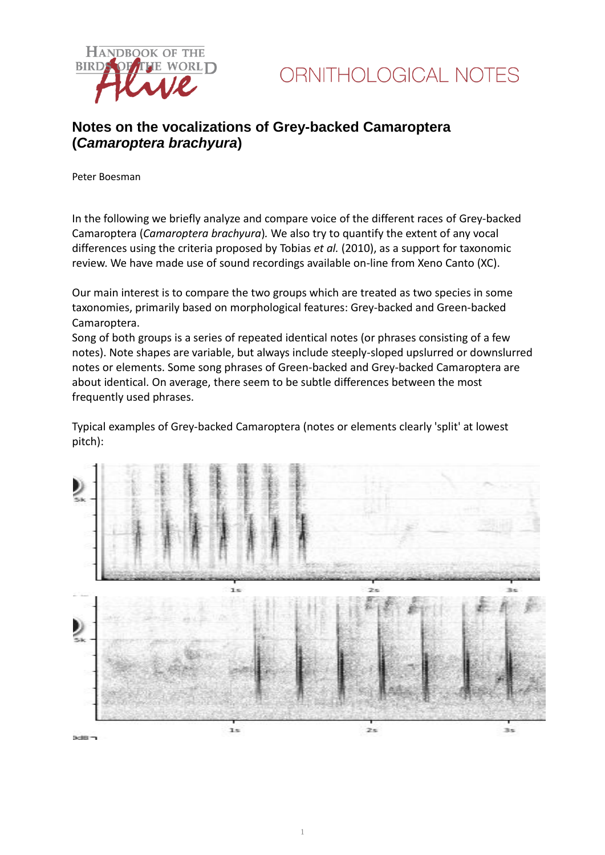

### **Notes on the vocalizations of Grey-backed Camaroptera (***Camaroptera brachyura***)**

Peter Boesman

In the following we briefly analyze and compare voice of the different races of Grey-backed Camaroptera (*Camaroptera brachyura*)*.* We also try to quantify the extent of any vocal differences using the criteria proposed by Tobias *et al.* (2010), as a support for taxonomic review. We have made use of sound recordings available on-line from Xeno Canto (XC).

Our main interest is to compare the two groups which are treated as two species in some taxonomies, primarily based on morphological features: Grey-backed and Green-backed Camaroptera.

Song of both groups is a series of repeated identical notes (or phrases consisting of a few notes). Note shapes are variable, but always include steeply-sloped upslurred or downslurred notes or elements. Some song phrases of Green-backed and Grey-backed Camaroptera are about identical. On average, there seem to be subtle differences between the most frequently used phrases.

Typical examples of Grey-backed Camaroptera (notes or elements clearly 'split' at lowest pitch):

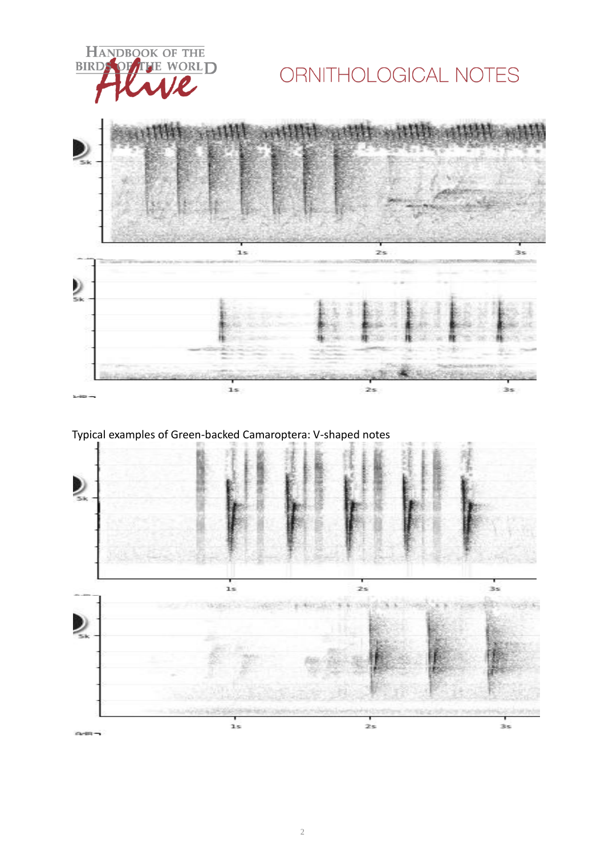

# ORNITHOLOGICAL NOTES



### Typical examples of Green-backed Camaroptera: V-shaped notes

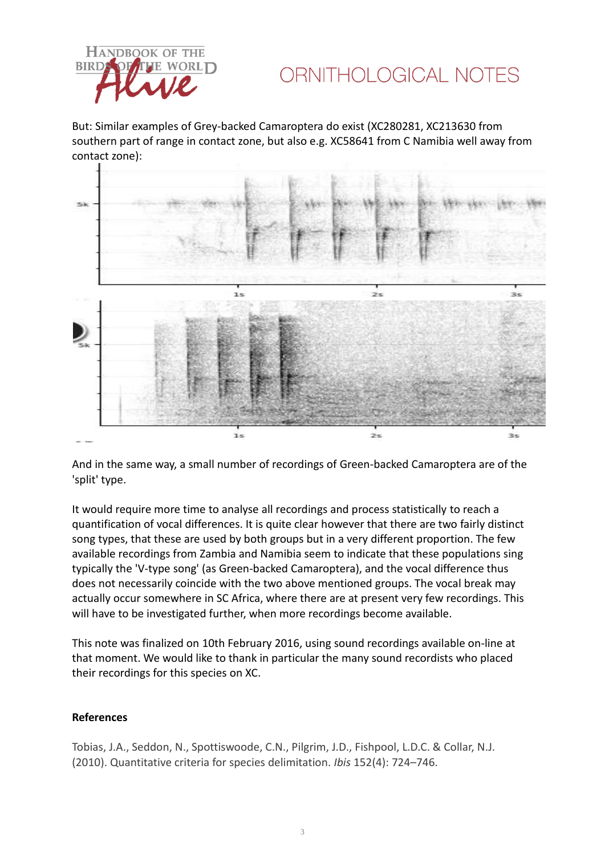

## ORNITHOLOGICAL NOTES

But: Similar examples of Grey-backed Camaroptera do exist (XC280281, XC213630 from southern part of range in contact zone, but also e.g. XC58641 from C Namibia well away from contact zone):



And in the same way, a small number of recordings of Green-backed Camaroptera are of the 'split' type.

It would require more time to analyse all recordings and process statistically to reach a quantification of vocal differences. It is quite clear however that there are two fairly distinct song types, that these are used by both groups but in a very different proportion. The few available recordings from Zambia and Namibia seem to indicate that these populations sing typically the 'V-type song' (as Green-backed Camaroptera), and the vocal difference thus does not necessarily coincide with the two above mentioned groups. The vocal break may actually occur somewhere in SC Africa, where there are at present very few recordings. This will have to be investigated further, when more recordings become available.

This note was finalized on 10th February 2016, using sound recordings available on-line at that moment. We would like to thank in particular the many sound recordists who placed their recordings for this species on XC.

#### **References**

Tobias, J.A., Seddon, N., Spottiswoode, C.N., Pilgrim, J.D., Fishpool, L.D.C. & Collar, N.J. (2010). Quantitative criteria for species delimitation. *Ibis* 152(4): 724–746.